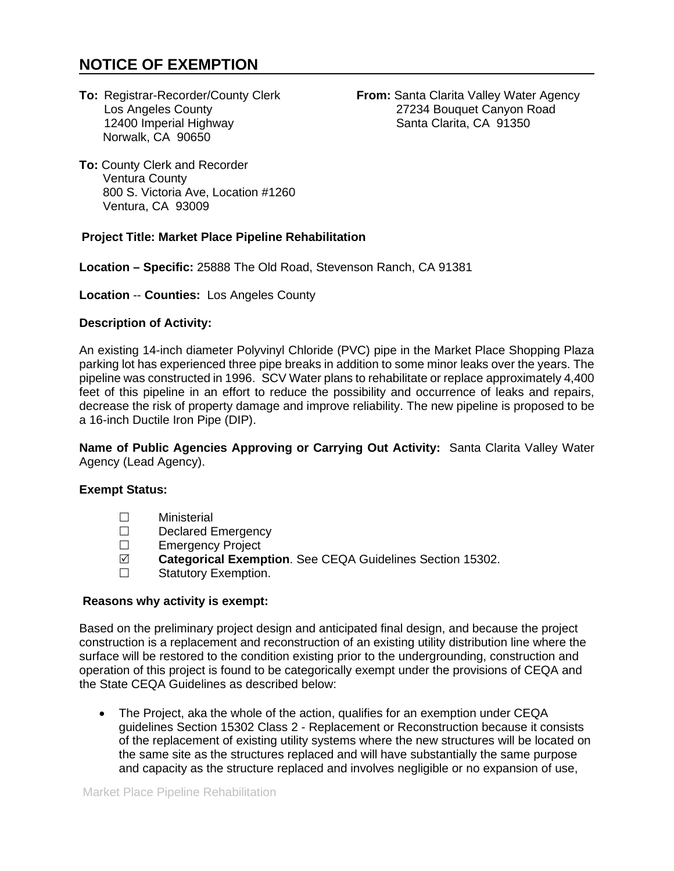# **NOTICE OF EXEMPTION**

12400 Imperial Highway Norwalk, CA 90650

**To:** Registrar-Recorder/County Clerk **From:** Santa Clarita Valley Water Agency<br>Los Angeles County 27234 Bouquet Canyon Road 27234 Bouquet Canyon Road<br>Santa Clarita, CA 91350

**To:** County Clerk and Recorder Ventura County 800 S. Victoria Ave, Location #1260 Ventura, CA 93009

## **Project Title: Market Place Pipeline Rehabilitation**

**Location – Specific:** 25888 The Old Road, Stevenson Ranch, CA 91381

**Location** -- **Counties:** Los Angeles County

## **Description of Activity:**

An existing 14-inch diameter Polyvinyl Chloride (PVC) pipe in the Market Place Shopping Plaza parking lot has experienced three pipe breaks in addition to some minor leaks over the years. The pipeline was constructed in 1996. SCV Water plans to rehabilitate or replace approximately 4,400 feet of this pipeline in an effort to reduce the possibility and occurrence of leaks and repairs, decrease the risk of property damage and improve reliability. The new pipeline is proposed to be a 16-inch Ductile Iron Pipe (DIP).

**Name of Public Agencies Approving or Carrying Out Activity:** Santa Clarita Valley Water Agency (Lead Agency).

### **Exempt Status:**

- Ministerial
- □ Declared Emergency<br>□ Emergency Project
- Emergency Project
- **Categorical Exemption**. See CEQA Guidelines Section 15302.
- □ Statutory Exemption.

### **Reasons why activity is exempt:**

Based on the preliminary project design and anticipated final design, and because the project construction is a replacement and reconstruction of an existing utility distribution line where the surface will be restored to the condition existing prior to the undergrounding, construction and operation of this project is found to be categorically exempt under the provisions of CEQA and the State CEQA Guidelines as described below:

• The Project, aka the whole of the action, qualifies for an exemption under CEQA guidelines Section 15302 Class 2 - Replacement or Reconstruction because it consists of the replacement of existing utility systems where the new structures will be located on the same site as the structures replaced and will have substantially the same purpose and capacity as the structure replaced and involves negligible or no expansion of use,